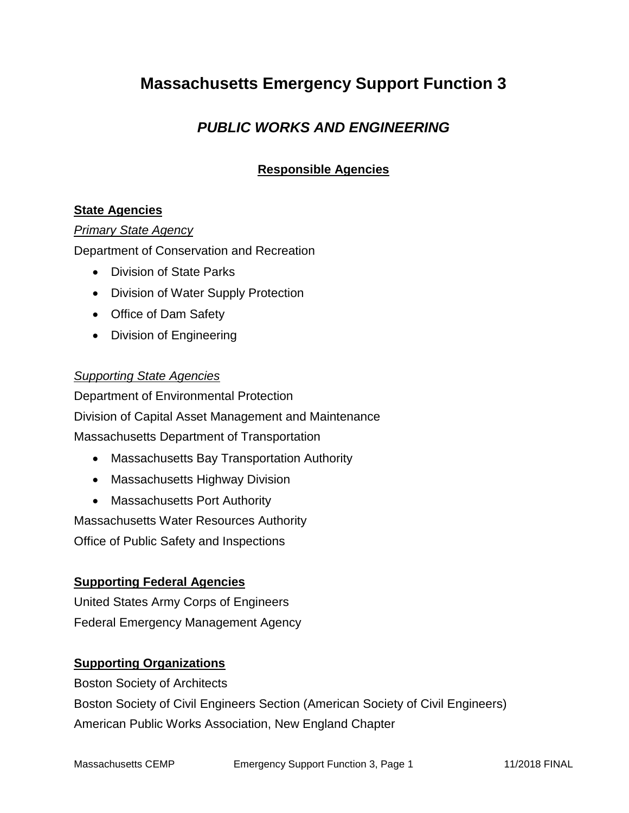# **Massachusetts Emergency Support Function 3**

## *PUBLIC WORKS AND ENGINEERING*

### **Responsible Agencies**

#### **State Agencies**

#### *Primary State Agency*

Department of Conservation and Recreation

- Division of State Parks
- Division of Water Supply Protection
- Office of Dam Safety
- Division of Engineering

#### *Supporting State Agencies*

Department of Environmental Protection Division of Capital Asset Management and Maintenance Massachusetts Department of Transportation

- Massachusetts Bay Transportation Authority
- Massachusetts Highway Division
- Massachusetts Port Authority

Massachusetts Water Resources Authority

Office of Public Safety and Inspections

#### **Supporting Federal Agencies**

United States Army Corps of Engineers Federal Emergency Management Agency

#### **Supporting Organizations**

Boston Society of Architects Boston Society of Civil Engineers Section (American Society of Civil Engineers) American Public Works Association, New England Chapter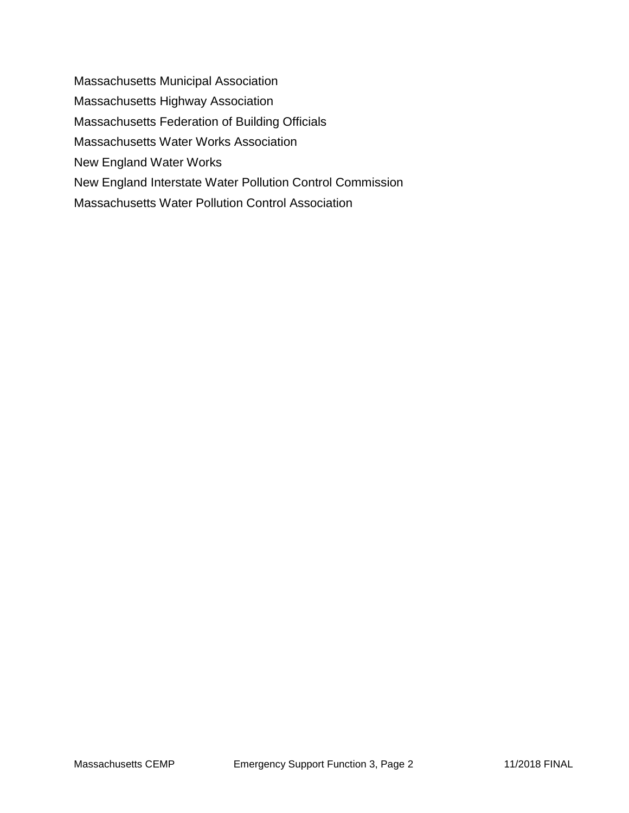Massachusetts Municipal Association Massachusetts Highway Association Massachusetts Federation of Building Officials Massachusetts Water Works Association New England Water Works New England Interstate Water Pollution Control Commission Massachusetts Water Pollution Control Association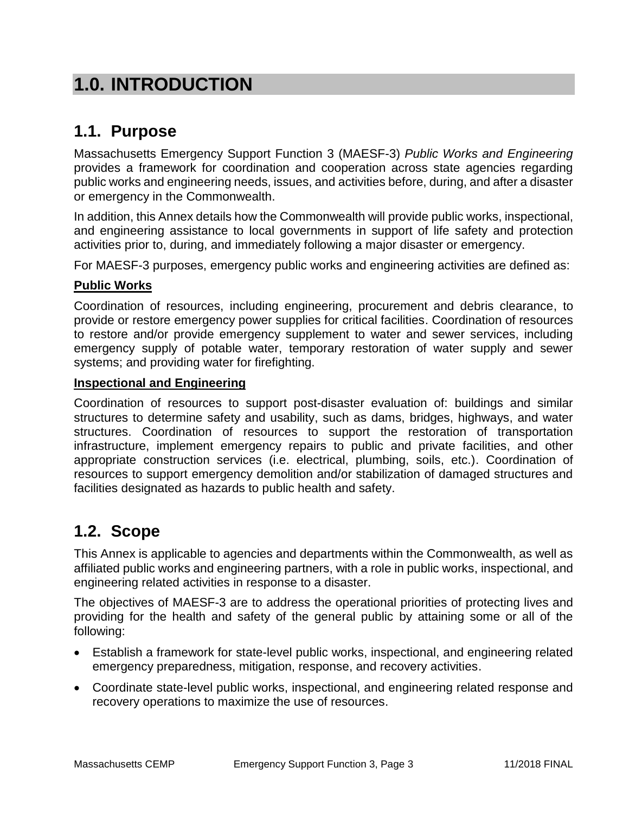# **1.0. INTRODUCTION**

## **1.1. Purpose**

Massachusetts Emergency Support Function 3 (MAESF-3) *Public Works and Engineering* provides a framework for coordination and cooperation across state agencies regarding public works and engineering needs, issues, and activities before, during, and after a disaster or emergency in the Commonwealth.

In addition, this Annex details how the Commonwealth will provide public works, inspectional, and engineering assistance to local governments in support of life safety and protection activities prior to, during, and immediately following a major disaster or emergency.

For MAESF-3 purposes, emergency public works and engineering activities are defined as:

#### **Public Works**

Coordination of resources, including engineering, procurement and debris clearance, to provide or restore emergency power supplies for critical facilities. Coordination of resources to restore and/or provide emergency supplement to water and sewer services, including emergency supply of potable water, temporary restoration of water supply and sewer systems; and providing water for firefighting.

#### **Inspectional and Engineering**

Coordination of resources to support post-disaster evaluation of: buildings and similar structures to determine safety and usability, such as dams, bridges, highways, and water structures. Coordination of resources to support the restoration of transportation infrastructure, implement emergency repairs to public and private facilities, and other appropriate construction services (i.e. electrical, plumbing, soils, etc.). Coordination of resources to support emergency demolition and/or stabilization of damaged structures and facilities designated as hazards to public health and safety.

## **1.2. Scope**

This Annex is applicable to agencies and departments within the Commonwealth, as well as affiliated public works and engineering partners, with a role in public works, inspectional, and engineering related activities in response to a disaster.

The objectives of MAESF-3 are to address the operational priorities of protecting lives and providing for the health and safety of the general public by attaining some or all of the following:

- Establish a framework for state-level public works, inspectional, and engineering related emergency preparedness, mitigation, response, and recovery activities.
- Coordinate state-level public works, inspectional, and engineering related response and recovery operations to maximize the use of resources.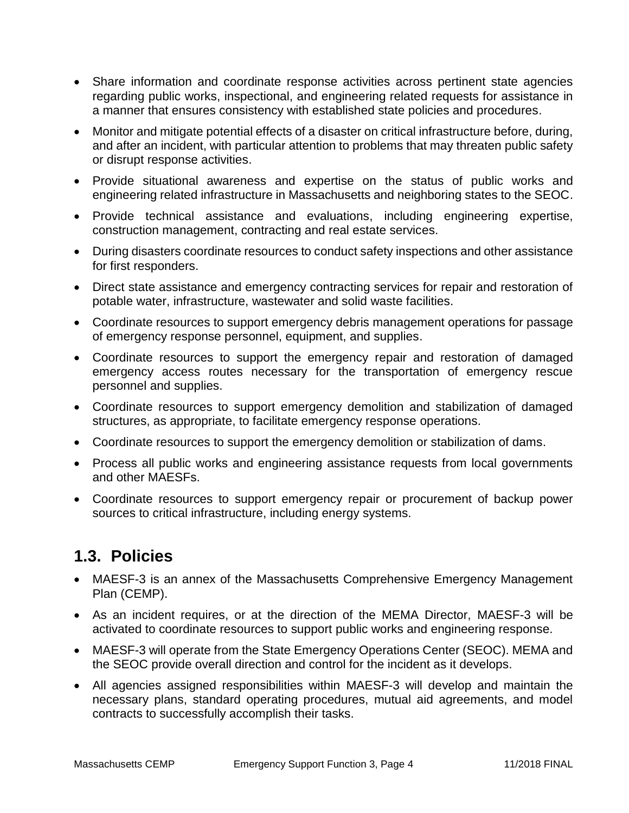- Share information and coordinate response activities across pertinent state agencies regarding public works, inspectional, and engineering related requests for assistance in a manner that ensures consistency with established state policies and procedures.
- Monitor and mitigate potential effects of a disaster on critical infrastructure before, during, and after an incident, with particular attention to problems that may threaten public safety or disrupt response activities.
- Provide situational awareness and expertise on the status of public works and engineering related infrastructure in Massachusetts and neighboring states to the SEOC.
- Provide technical assistance and evaluations, including engineering expertise, construction management, contracting and real estate services.
- During disasters coordinate resources to conduct safety inspections and other assistance for first responders.
- Direct state assistance and emergency contracting services for repair and restoration of potable water, infrastructure, wastewater and solid waste facilities.
- Coordinate resources to support emergency debris management operations for passage of emergency response personnel, equipment, and supplies.
- Coordinate resources to support the emergency repair and restoration of damaged emergency access routes necessary for the transportation of emergency rescue personnel and supplies.
- Coordinate resources to support emergency demolition and stabilization of damaged structures, as appropriate, to facilitate emergency response operations.
- Coordinate resources to support the emergency demolition or stabilization of dams.
- Process all public works and engineering assistance requests from local governments and other MAESFs.
- Coordinate resources to support emergency repair or procurement of backup power sources to critical infrastructure, including energy systems.

# **1.3. Policies**

- MAESF-3 is an annex of the Massachusetts Comprehensive Emergency Management Plan (CEMP).
- As an incident requires, or at the direction of the MEMA Director, MAESF-3 will be activated to coordinate resources to support public works and engineering response.
- MAESF-3 will operate from the State Emergency Operations Center (SEOC). MEMA and the SEOC provide overall direction and control for the incident as it develops.
- All agencies assigned responsibilities within MAESF-3 will develop and maintain the necessary plans, standard operating procedures, mutual aid agreements, and model contracts to successfully accomplish their tasks.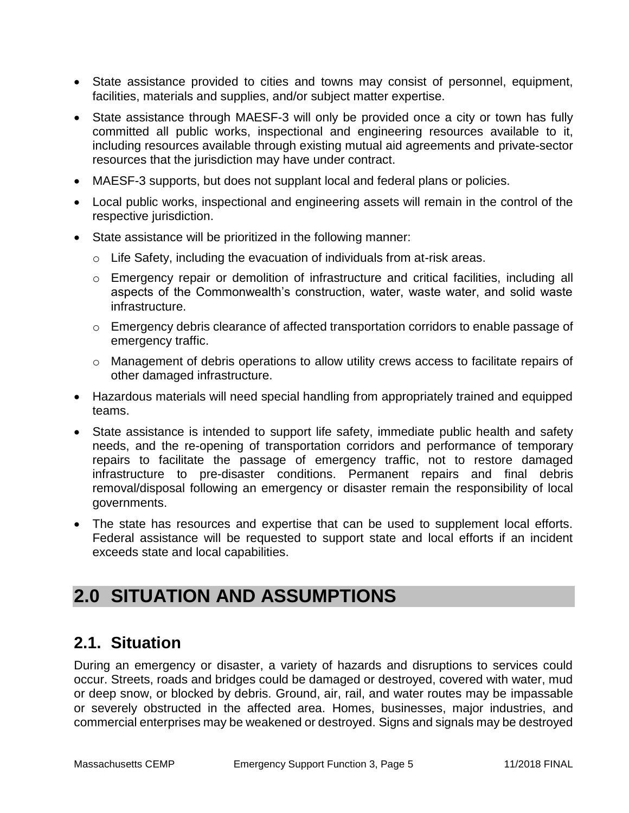- State assistance provided to cities and towns may consist of personnel, equipment, facilities, materials and supplies, and/or subject matter expertise.
- State assistance through MAESF-3 will only be provided once a city or town has fully committed all public works, inspectional and engineering resources available to it, including resources available through existing mutual aid agreements and private-sector resources that the jurisdiction may have under contract.
- MAESF-3 supports, but does not supplant local and federal plans or policies.
- Local public works, inspectional and engineering assets will remain in the control of the respective jurisdiction.
- State assistance will be prioritized in the following manner:
	- $\circ$  Life Safety, including the evacuation of individuals from at-risk areas.
	- o Emergency repair or demolition of infrastructure and critical facilities, including all aspects of the Commonwealth's construction, water, waste water, and solid waste infrastructure.
	- o Emergency debris clearance of affected transportation corridors to enable passage of emergency traffic.
	- o Management of debris operations to allow utility crews access to facilitate repairs of other damaged infrastructure.
- Hazardous materials will need special handling from appropriately trained and equipped teams.
- State assistance is intended to support life safety, immediate public health and safety needs, and the re-opening of transportation corridors and performance of temporary repairs to facilitate the passage of emergency traffic, not to restore damaged infrastructure to pre-disaster conditions. Permanent repairs and final debris removal/disposal following an emergency or disaster remain the responsibility of local governments.
- The state has resources and expertise that can be used to supplement local efforts. Federal assistance will be requested to support state and local efforts if an incident exceeds state and local capabilities.

# **2.0 SITUATION AND ASSUMPTIONS**

## **2.1. Situation**

During an emergency or disaster, a variety of hazards and disruptions to services could occur. Streets, roads and bridges could be damaged or destroyed, covered with water, mud or deep snow, or blocked by debris. Ground, air, rail, and water routes may be impassable or severely obstructed in the affected area. Homes, businesses, major industries, and commercial enterprises may be weakened or destroyed. Signs and signals may be destroyed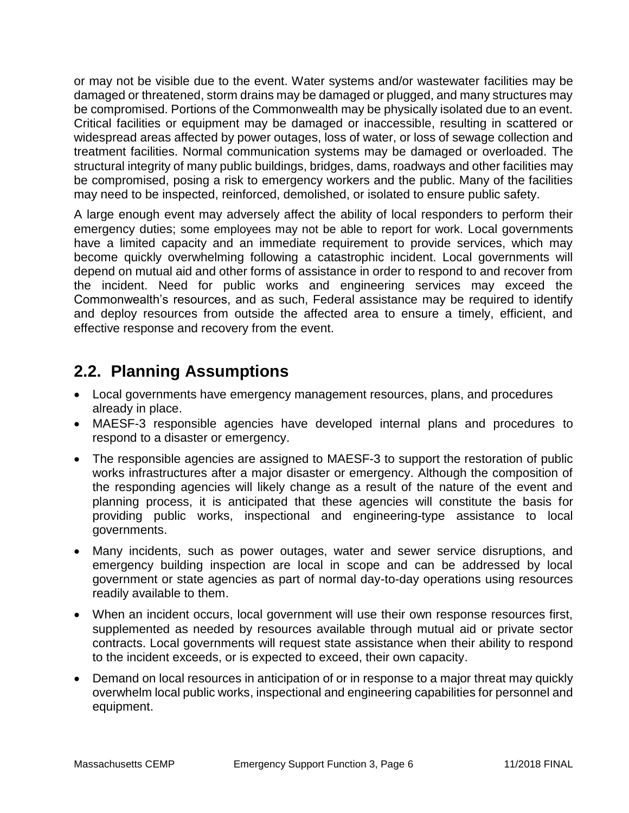or may not be visible due to the event. Water systems and/or wastewater facilities may be damaged or threatened, storm drains may be damaged or plugged, and many structures may be compromised. Portions of the Commonwealth may be physically isolated due to an event. Critical facilities or equipment may be damaged or inaccessible, resulting in scattered or widespread areas affected by power outages, loss of water, or loss of sewage collection and treatment facilities. Normal communication systems may be damaged or overloaded. The structural integrity of many public buildings, bridges, dams, roadways and other facilities may be compromised, posing a risk to emergency workers and the public. Many of the facilities may need to be inspected, reinforced, demolished, or isolated to ensure public safety.

A large enough event may adversely affect the ability of local responders to perform their emergency duties; some employees may not be able to report for work. Local governments have a limited capacity and an immediate requirement to provide services, which may become quickly overwhelming following a catastrophic incident. Local governments will depend on mutual aid and other forms of assistance in order to respond to and recover from the incident. Need for public works and engineering services may exceed the Commonwealth's resources, and as such, Federal assistance may be required to identify and deploy resources from outside the affected area to ensure a timely, efficient, and effective response and recovery from the event.

# **2.2. Planning Assumptions**

- Local governments have emergency management resources, plans, and procedures already in place.
- MAESF-3 responsible agencies have developed internal plans and procedures to respond to a disaster or emergency.
- The responsible agencies are assigned to MAESF-3 to support the restoration of public works infrastructures after a major disaster or emergency. Although the composition of the responding agencies will likely change as a result of the nature of the event and planning process, it is anticipated that these agencies will constitute the basis for providing public works, inspectional and engineering-type assistance to local governments.
- Many incidents, such as power outages, water and sewer service disruptions, and emergency building inspection are local in scope and can be addressed by local government or state agencies as part of normal day-to-day operations using resources readily available to them.
- When an incident occurs, local government will use their own response resources first, supplemented as needed by resources available through mutual aid or private sector contracts. Local governments will request state assistance when their ability to respond to the incident exceeds, or is expected to exceed, their own capacity.
- Demand on local resources in anticipation of or in response to a major threat may quickly overwhelm local public works, inspectional and engineering capabilities for personnel and equipment.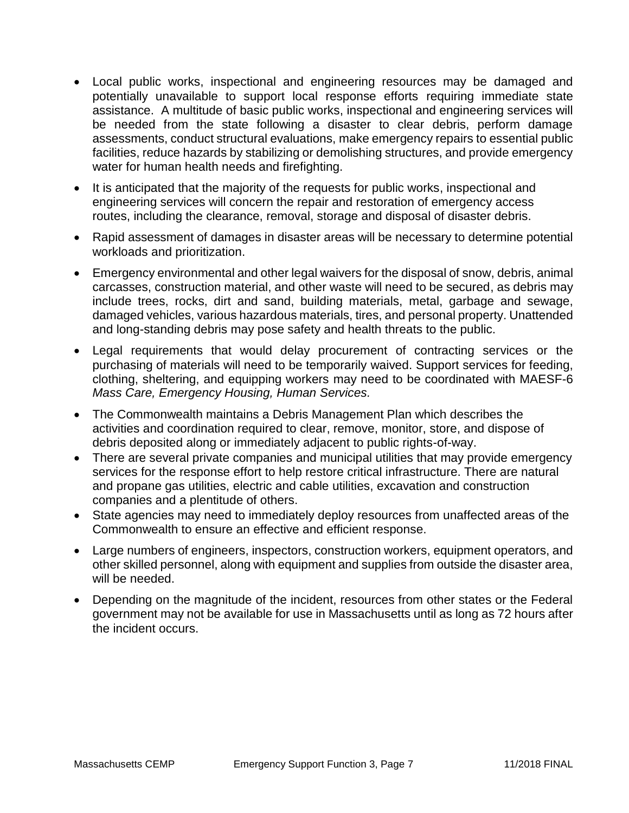- Local public works, inspectional and engineering resources may be damaged and potentially unavailable to support local response efforts requiring immediate state assistance. A multitude of basic public works, inspectional and engineering services will be needed from the state following a disaster to clear debris, perform damage assessments, conduct structural evaluations, make emergency repairs to essential public facilities, reduce hazards by stabilizing or demolishing structures, and provide emergency water for human health needs and firefighting.
- It is anticipated that the majority of the requests for public works, inspectional and engineering services will concern the repair and restoration of emergency access routes, including the clearance, removal, storage and disposal of disaster debris.
- Rapid assessment of damages in disaster areas will be necessary to determine potential workloads and prioritization.
- Emergency environmental and other legal waivers for the disposal of snow, debris, animal carcasses, construction material, and other waste will need to be secured, as debris may include trees, rocks, dirt and sand, building materials, metal, garbage and sewage, damaged vehicles, various hazardous materials, tires, and personal property. Unattended and long-standing debris may pose safety and health threats to the public.
- Legal requirements that would delay procurement of contracting services or the purchasing of materials will need to be temporarily waived. Support services for feeding, clothing, sheltering, and equipping workers may need to be coordinated with MAESF-6 *Mass Care, Emergency Housing, Human Services.*
- The Commonwealth maintains a Debris Management Plan which describes the activities and coordination required to clear, remove, monitor, store, and dispose of debris deposited along or immediately adjacent to public rights-of-way.
- There are several private companies and municipal utilities that may provide emergency services for the response effort to help restore critical infrastructure. There are natural and propane gas utilities, electric and cable utilities, excavation and construction companies and a plentitude of others.
- State agencies may need to immediately deploy resources from unaffected areas of the Commonwealth to ensure an effective and efficient response.
- Large numbers of engineers, inspectors, construction workers, equipment operators, and other skilled personnel, along with equipment and supplies from outside the disaster area, will be needed.
- Depending on the magnitude of the incident, resources from other states or the Federal government may not be available for use in Massachusetts until as long as 72 hours after the incident occurs.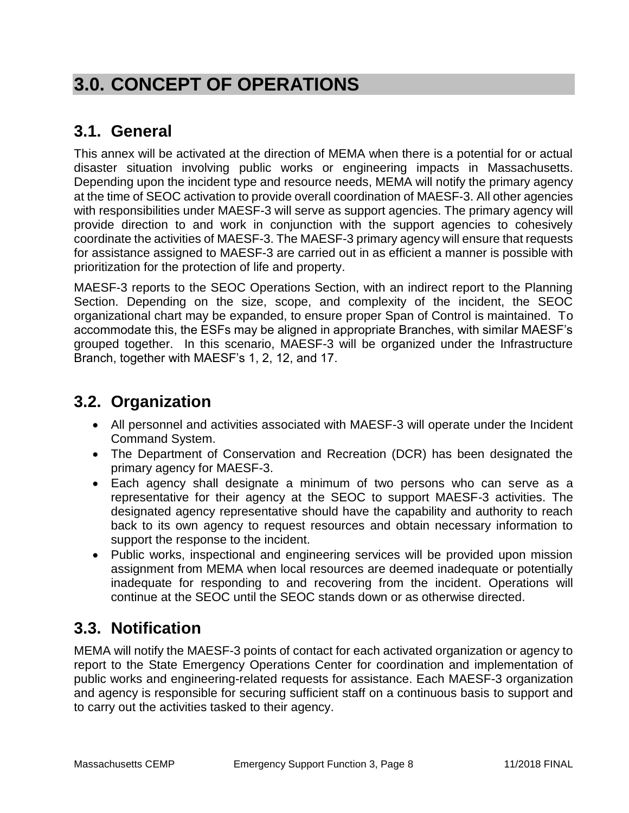# **3.0. CONCEPT OF OPERATIONS**

# **3.1. General**

This annex will be activated at the direction of MEMA when there is a potential for or actual disaster situation involving public works or engineering impacts in Massachusetts. Depending upon the incident type and resource needs, MEMA will notify the primary agency at the time of SEOC activation to provide overall coordination of MAESF-3. All other agencies with responsibilities under MAESF-3 will serve as support agencies. The primary agency will provide direction to and work in conjunction with the support agencies to cohesively coordinate the activities of MAESF-3. The MAESF-3 primary agency will ensure that requests for assistance assigned to MAESF-3 are carried out in as efficient a manner is possible with prioritization for the protection of life and property.

MAESF-3 reports to the SEOC Operations Section, with an indirect report to the Planning Section. Depending on the size, scope, and complexity of the incident, the SEOC organizational chart may be expanded, to ensure proper Span of Control is maintained. To accommodate this, the ESFs may be aligned in appropriate Branches, with similar MAESF's grouped together. In this scenario, MAESF-3 will be organized under the Infrastructure Branch, together with MAESF's 1, 2, 12, and 17.

## **3.2. Organization**

- All personnel and activities associated with MAESF-3 will operate under the Incident Command System.
- The Department of Conservation and Recreation (DCR) has been designated the primary agency for MAESF-3.
- Each agency shall designate a minimum of two persons who can serve as a representative for their agency at the SEOC to support MAESF-3 activities. The designated agency representative should have the capability and authority to reach back to its own agency to request resources and obtain necessary information to support the response to the incident.
- Public works, inspectional and engineering services will be provided upon mission assignment from MEMA when local resources are deemed inadequate or potentially inadequate for responding to and recovering from the incident. Operations will continue at the SEOC until the SEOC stands down or as otherwise directed.

# **3.3. Notification**

MEMA will notify the MAESF-3 points of contact for each activated organization or agency to report to the State Emergency Operations Center for coordination and implementation of public works and engineering-related requests for assistance. Each MAESF-3 organization and agency is responsible for securing sufficient staff on a continuous basis to support and to carry out the activities tasked to their agency.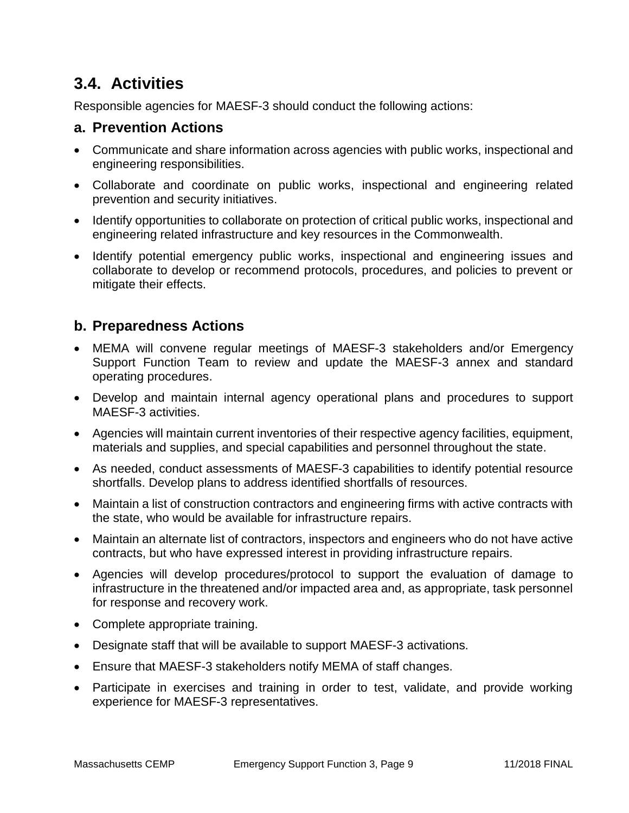# **3.4. Activities**

Responsible agencies for MAESF-3 should conduct the following actions:

## **a. Prevention Actions**

- Communicate and share information across agencies with public works, inspectional and engineering responsibilities.
- Collaborate and coordinate on public works, inspectional and engineering related prevention and security initiatives.
- Identify opportunities to collaborate on protection of critical public works, inspectional and engineering related infrastructure and key resources in the Commonwealth.
- Identify potential emergency public works, inspectional and engineering issues and collaborate to develop or recommend protocols, procedures, and policies to prevent or mitigate their effects.

## **b. Preparedness Actions**

- MEMA will convene regular meetings of MAESF-3 stakeholders and/or Emergency Support Function Team to review and update the MAESF-3 annex and standard operating procedures.
- Develop and maintain internal agency operational plans and procedures to support MAESF-3 activities.
- Agencies will maintain current inventories of their respective agency facilities, equipment, materials and supplies, and special capabilities and personnel throughout the state.
- As needed, conduct assessments of MAESF-3 capabilities to identify potential resource shortfalls. Develop plans to address identified shortfalls of resources.
- Maintain a list of construction contractors and engineering firms with active contracts with the state, who would be available for infrastructure repairs.
- Maintain an alternate list of contractors, inspectors and engineers who do not have active contracts, but who have expressed interest in providing infrastructure repairs.
- Agencies will develop procedures/protocol to support the evaluation of damage to infrastructure in the threatened and/or impacted area and, as appropriate, task personnel for response and recovery work.
- Complete appropriate training.
- Designate staff that will be available to support MAESF-3 activations.
- Ensure that MAESF-3 stakeholders notify MEMA of staff changes.
- Participate in exercises and training in order to test, validate, and provide working experience for MAESF-3 representatives.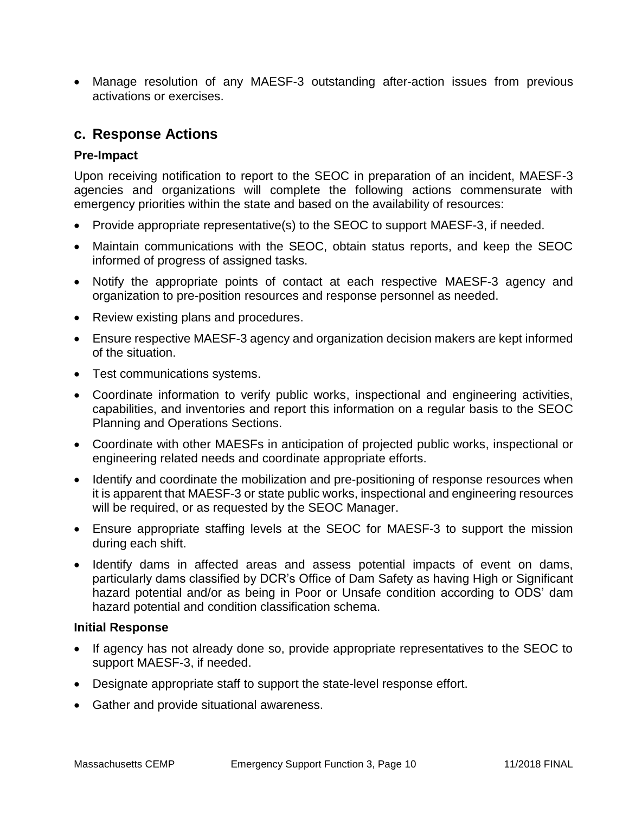Manage resolution of any MAESF-3 outstanding after-action issues from previous activations or exercises.

### **c. Response Actions**

#### **Pre-Impact**

Upon receiving notification to report to the SEOC in preparation of an incident, MAESF-3 agencies and organizations will complete the following actions commensurate with emergency priorities within the state and based on the availability of resources:

- Provide appropriate representative(s) to the SEOC to support MAESF-3, if needed.
- Maintain communications with the SEOC, obtain status reports, and keep the SEOC informed of progress of assigned tasks.
- Notify the appropriate points of contact at each respective MAESF-3 agency and organization to pre-position resources and response personnel as needed.
- Review existing plans and procedures.
- Ensure respective MAESF-3 agency and organization decision makers are kept informed of the situation.
- Test communications systems.
- Coordinate information to verify public works, inspectional and engineering activities, capabilities, and inventories and report this information on a regular basis to the SEOC Planning and Operations Sections.
- Coordinate with other MAESFs in anticipation of projected public works, inspectional or engineering related needs and coordinate appropriate efforts.
- Identify and coordinate the mobilization and pre-positioning of response resources when it is apparent that MAESF-3 or state public works, inspectional and engineering resources will be required, or as requested by the SEOC Manager.
- Ensure appropriate staffing levels at the SEOC for MAESF-3 to support the mission during each shift.
- Identify dams in affected areas and assess potential impacts of event on dams, particularly dams classified by DCR's Office of Dam Safety as having High or Significant hazard potential and/or as being in Poor or Unsafe condition according to ODS' dam hazard potential and condition classification schema.

#### **Initial Response**

- If agency has not already done so, provide appropriate representatives to the SEOC to support MAESF-3, if needed.
- Designate appropriate staff to support the state-level response effort.
- Gather and provide situational awareness.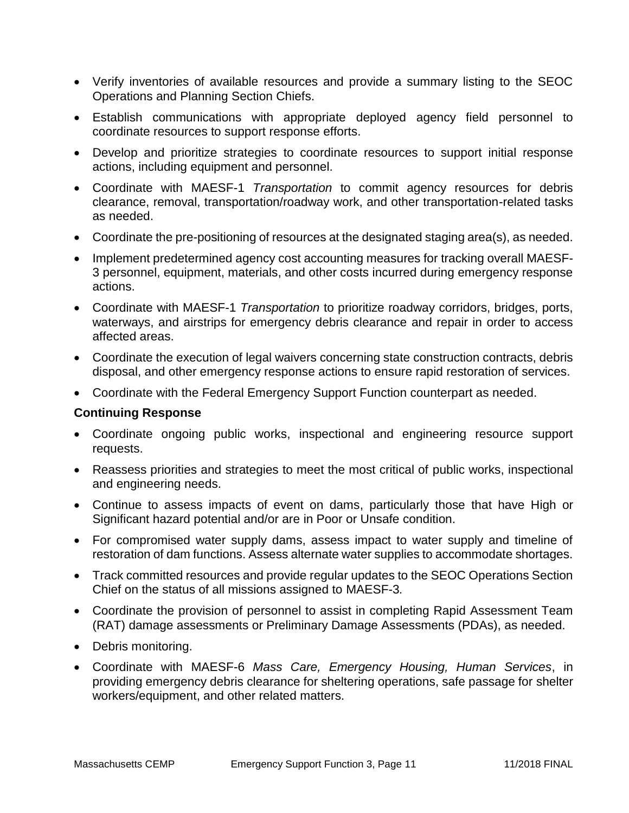- Verify inventories of available resources and provide a summary listing to the SEOC Operations and Planning Section Chiefs.
- Establish communications with appropriate deployed agency field personnel to coordinate resources to support response efforts.
- Develop and prioritize strategies to coordinate resources to support initial response actions, including equipment and personnel.
- Coordinate with MAESF-1 *Transportation* to commit agency resources for debris clearance, removal, transportation/roadway work, and other transportation-related tasks as needed.
- Coordinate the pre-positioning of resources at the designated staging area(s), as needed.
- Implement predetermined agency cost accounting measures for tracking overall MAESF-3 personnel, equipment, materials, and other costs incurred during emergency response actions.
- Coordinate with MAESF-1 *Transportation* to prioritize roadway corridors, bridges, ports, waterways, and airstrips for emergency debris clearance and repair in order to access affected areas.
- Coordinate the execution of legal waivers concerning state construction contracts, debris disposal, and other emergency response actions to ensure rapid restoration of services.
- Coordinate with the Federal Emergency Support Function counterpart as needed.

#### **Continuing Response**

- Coordinate ongoing public works, inspectional and engineering resource support requests.
- Reassess priorities and strategies to meet the most critical of public works, inspectional and engineering needs.
- Continue to assess impacts of event on dams, particularly those that have High or Significant hazard potential and/or are in Poor or Unsafe condition.
- For compromised water supply dams, assess impact to water supply and timeline of restoration of dam functions. Assess alternate water supplies to accommodate shortages.
- Track committed resources and provide regular updates to the SEOC Operations Section Chief on the status of all missions assigned to MAESF-3*.*
- Coordinate the provision of personnel to assist in completing Rapid Assessment Team (RAT) damage assessments or Preliminary Damage Assessments (PDAs), as needed.
- Debris monitoring.
- Coordinate with MAESF-6 *Mass Care, Emergency Housing, Human Services*, in providing emergency debris clearance for sheltering operations, safe passage for shelter workers/equipment, and other related matters.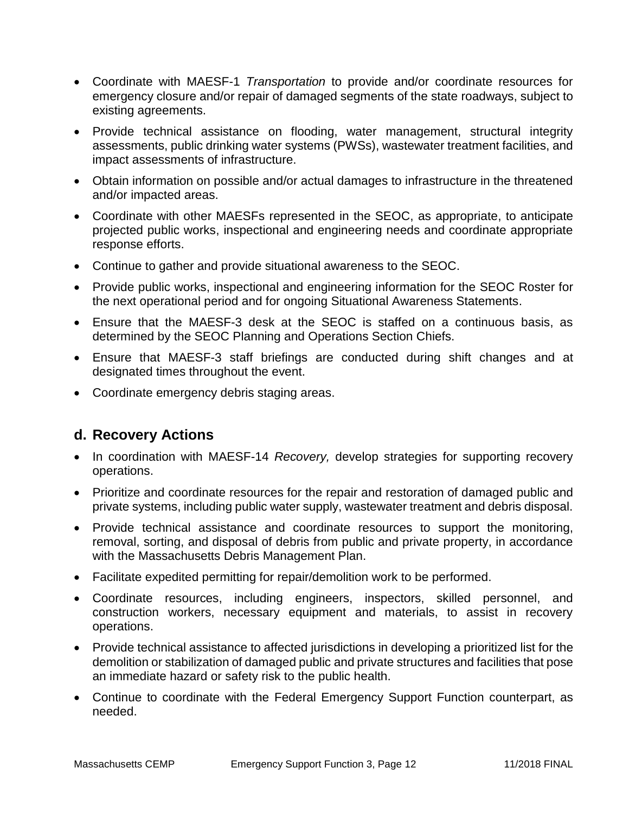- Coordinate with MAESF-1 *Transportation* to provide and/or coordinate resources for emergency closure and/or repair of damaged segments of the state roadways, subject to existing agreements.
- Provide technical assistance on flooding, water management, structural integrity assessments, public drinking water systems (PWSs), wastewater treatment facilities, and impact assessments of infrastructure.
- Obtain information on possible and/or actual damages to infrastructure in the threatened and/or impacted areas.
- Coordinate with other MAESFs represented in the SEOC, as appropriate, to anticipate projected public works, inspectional and engineering needs and coordinate appropriate response efforts.
- Continue to gather and provide situational awareness to the SEOC.
- Provide public works, inspectional and engineering information for the SEOC Roster for the next operational period and for ongoing Situational Awareness Statements.
- Ensure that the MAESF-3 desk at the SEOC is staffed on a continuous basis, as determined by the SEOC Planning and Operations Section Chiefs.
- Ensure that MAESF-3 staff briefings are conducted during shift changes and at designated times throughout the event.
- Coordinate emergency debris staging areas.

### **d. Recovery Actions**

- In coordination with MAESF-14 *Recovery,* develop strategies for supporting recovery operations.
- Prioritize and coordinate resources for the repair and restoration of damaged public and private systems, including public water supply, wastewater treatment and debris disposal.
- Provide technical assistance and coordinate resources to support the monitoring, removal, sorting, and disposal of debris from public and private property, in accordance with the Massachusetts Debris Management Plan.
- Facilitate expedited permitting for repair/demolition work to be performed.
- Coordinate resources, including engineers, inspectors, skilled personnel, and construction workers, necessary equipment and materials, to assist in recovery operations.
- Provide technical assistance to affected jurisdictions in developing a prioritized list for the demolition or stabilization of damaged public and private structures and facilities that pose an immediate hazard or safety risk to the public health.
- Continue to coordinate with the Federal Emergency Support Function counterpart, as needed.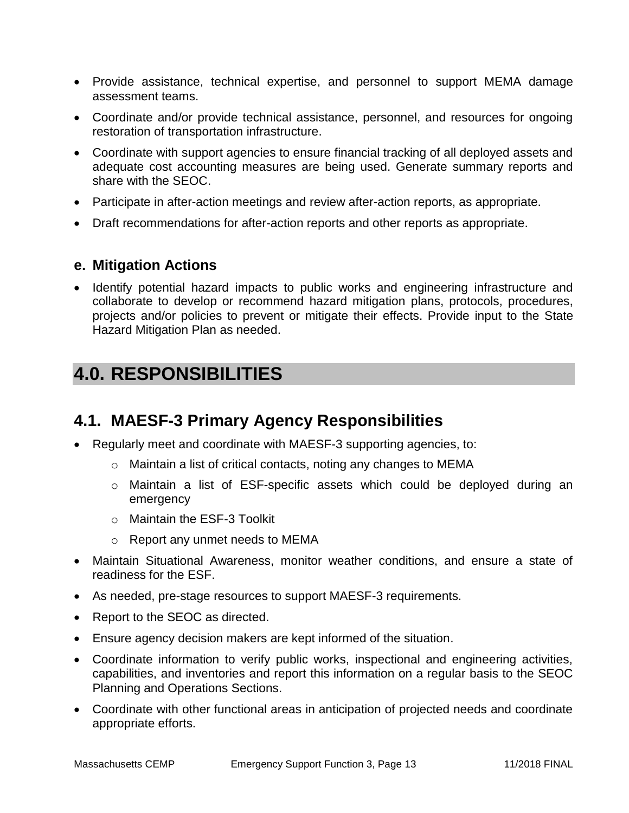- Provide assistance, technical expertise, and personnel to support MEMA damage assessment teams.
- Coordinate and/or provide technical assistance, personnel, and resources for ongoing restoration of transportation infrastructure.
- Coordinate with support agencies to ensure financial tracking of all deployed assets and adequate cost accounting measures are being used. Generate summary reports and share with the SEOC.
- Participate in after-action meetings and review after-action reports, as appropriate.
- Draft recommendations for after-action reports and other reports as appropriate.

#### **e. Mitigation Actions**

• Identify potential hazard impacts to public works and engineering infrastructure and collaborate to develop or recommend hazard mitigation plans, protocols, procedures, projects and/or policies to prevent or mitigate their effects. Provide input to the State Hazard Mitigation Plan as needed.

# **4.0. RESPONSIBILITIES**

## **4.1. MAESF-3 Primary Agency Responsibilities**

- Regularly meet and coordinate with MAESF-3 supporting agencies, to:
	- o Maintain a list of critical contacts, noting any changes to MEMA
	- o Maintain a list of ESF-specific assets which could be deployed during an emergency
	- o Maintain the ESF-3 Toolkit
	- o Report any unmet needs to MEMA
- Maintain Situational Awareness, monitor weather conditions, and ensure a state of readiness for the ESF.
- As needed, pre-stage resources to support MAESF-3 requirements.
- Report to the SEOC as directed.
- Ensure agency decision makers are kept informed of the situation.
- Coordinate information to verify public works, inspectional and engineering activities, capabilities, and inventories and report this information on a regular basis to the SEOC Planning and Operations Sections.
- Coordinate with other functional areas in anticipation of projected needs and coordinate appropriate efforts.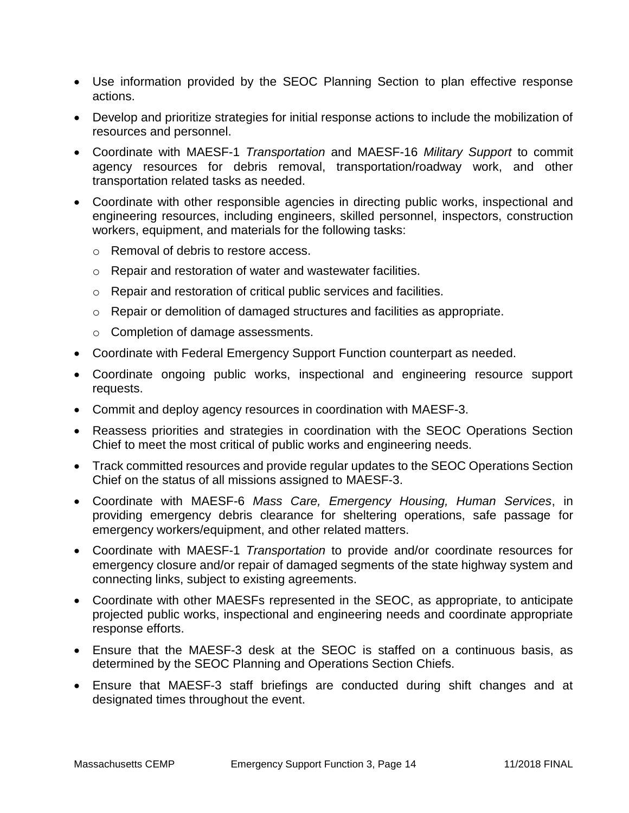- Use information provided by the SEOC Planning Section to plan effective response actions.
- Develop and prioritize strategies for initial response actions to include the mobilization of resources and personnel.
- Coordinate with MAESF-1 *Transportation* and MAESF-16 *Military Support* to commit agency resources for debris removal, transportation/roadway work, and other transportation related tasks as needed.
- Coordinate with other responsible agencies in directing public works, inspectional and engineering resources, including engineers, skilled personnel, inspectors, construction workers, equipment, and materials for the following tasks:
	- o Removal of debris to restore access.
	- o Repair and restoration of water and wastewater facilities.
	- o Repair and restoration of critical public services and facilities.
	- $\circ$  Repair or demolition of damaged structures and facilities as appropriate.
	- o Completion of damage assessments.
- Coordinate with Federal Emergency Support Function counterpart as needed.
- Coordinate ongoing public works, inspectional and engineering resource support requests.
- Commit and deploy agency resources in coordination with MAESF-3.
- Reassess priorities and strategies in coordination with the SEOC Operations Section Chief to meet the most critical of public works and engineering needs.
- Track committed resources and provide regular updates to the SEOC Operations Section Chief on the status of all missions assigned to MAESF-3.
- Coordinate with MAESF-6 *Mass Care, Emergency Housing, Human Services*, in providing emergency debris clearance for sheltering operations, safe passage for emergency workers/equipment, and other related matters.
- Coordinate with MAESF-1 *Transportation* to provide and/or coordinate resources for emergency closure and/or repair of damaged segments of the state highway system and connecting links, subject to existing agreements.
- Coordinate with other MAESFs represented in the SEOC, as appropriate, to anticipate projected public works, inspectional and engineering needs and coordinate appropriate response efforts.
- Ensure that the MAESF-3 desk at the SEOC is staffed on a continuous basis, as determined by the SEOC Planning and Operations Section Chiefs.
- Ensure that MAESF-3 staff briefings are conducted during shift changes and at designated times throughout the event.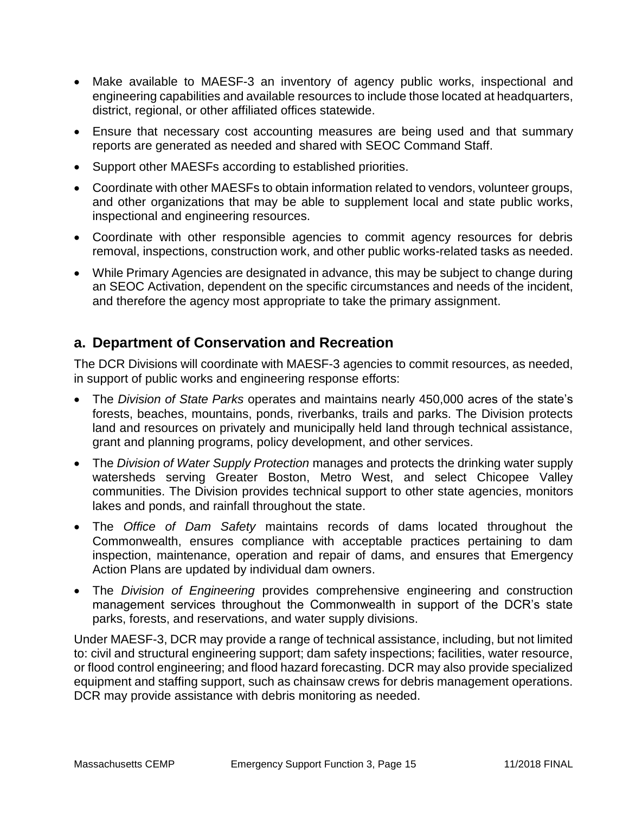- Make available to MAESF-3 an inventory of agency public works, inspectional and engineering capabilities and available resources to include those located at headquarters, district, regional, or other affiliated offices statewide.
- Ensure that necessary cost accounting measures are being used and that summary reports are generated as needed and shared with SEOC Command Staff.
- Support other MAESFs according to established priorities.
- Coordinate with other MAESFs to obtain information related to vendors, volunteer groups, and other organizations that may be able to supplement local and state public works, inspectional and engineering resources.
- Coordinate with other responsible agencies to commit agency resources for debris removal, inspections, construction work, and other public works-related tasks as needed.
- While Primary Agencies are designated in advance, this may be subject to change during an SEOC Activation, dependent on the specific circumstances and needs of the incident, and therefore the agency most appropriate to take the primary assignment.

## **a. Department of Conservation and Recreation**

The DCR Divisions will coordinate with MAESF-3 agencies to commit resources, as needed, in support of public works and engineering response efforts:

- The *Division of State Parks* operates and maintains nearly 450,000 acres of the state's forests, beaches, mountains, ponds, riverbanks, trails and parks. The Division protects land and resources on privately and municipally held land through technical assistance, grant and planning programs, policy development, and other services.
- The *Division of Water Supply Protection* manages and protects the drinking water supply watersheds serving Greater Boston, Metro West, and select Chicopee Valley communities. The Division provides technical support to other state agencies, monitors lakes and ponds, and rainfall throughout the state.
- The *Office of Dam Safety* maintains records of dams located throughout the Commonwealth, ensures compliance with acceptable practices pertaining to dam inspection, maintenance, operation and repair of dams, and ensures that Emergency Action Plans are updated by individual dam owners.
- The *Division of Engineering* provides comprehensive engineering and construction management services throughout the Commonwealth in support of the DCR's state parks, forests, and reservations, and water supply divisions.

Under MAESF-3, DCR may provide a range of technical assistance, including, but not limited to: civil and structural engineering support; dam safety inspections; facilities, water resource, or flood control engineering; and flood hazard forecasting. DCR may also provide specialized equipment and staffing support, such as chainsaw crews for debris management operations. DCR may provide assistance with debris monitoring as needed.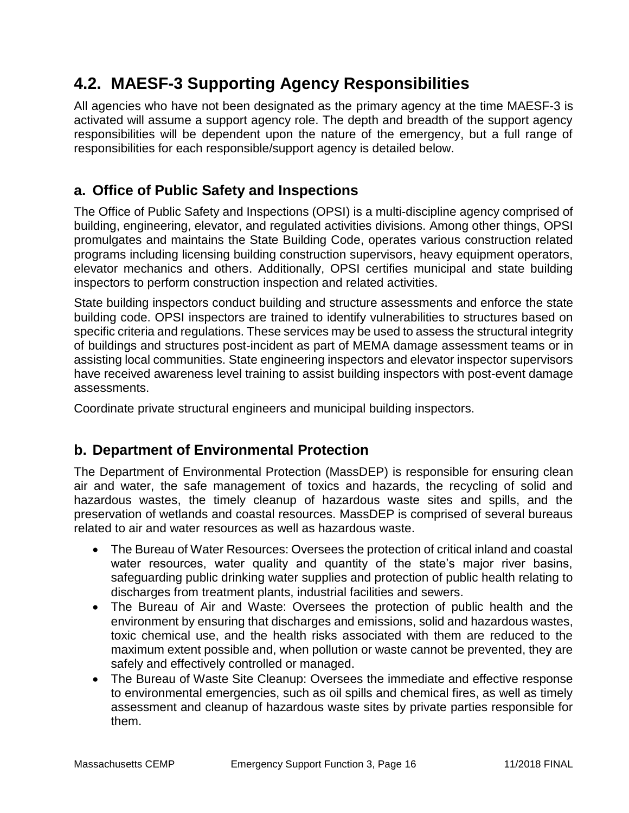# **4.2. MAESF-3 Supporting Agency Responsibilities**

All agencies who have not been designated as the primary agency at the time MAESF-3 is activated will assume a support agency role. The depth and breadth of the support agency responsibilities will be dependent upon the nature of the emergency, but a full range of responsibilities for each responsible/support agency is detailed below.

## **a. Office of Public Safety and Inspections**

The Office of Public Safety and Inspections (OPSI) is a multi-discipline agency comprised of building, engineering, elevator, and regulated activities divisions. Among other things, OPSI promulgates and maintains the State Building Code, operates various construction related programs including licensing building construction supervisors, heavy equipment operators, elevator mechanics and others. Additionally, OPSI certifies municipal and state building inspectors to perform construction inspection and related activities.

State building inspectors conduct building and structure assessments and enforce the state building code. OPSI inspectors are trained to identify vulnerabilities to structures based on specific criteria and regulations. These services may be used to assess the structural integrity of buildings and structures post-incident as part of MEMA damage assessment teams or in assisting local communities. State engineering inspectors and elevator inspector supervisors have received awareness level training to assist building inspectors with post-event damage assessments.

Coordinate private structural engineers and municipal building inspectors.

## **b. Department of Environmental Protection**

The Department of Environmental Protection (MassDEP) is responsible for ensuring clean air and water, the safe management of toxics and hazards, the recycling of solid and hazardous wastes, the timely cleanup of hazardous waste sites and spills, and the preservation of wetlands and coastal resources. MassDEP is comprised of several bureaus related to air and water resources as well as hazardous waste.

- The Bureau of Water Resources: Oversees the protection of critical inland and coastal water resources, water quality and quantity of the state's major river basins, safeguarding public drinking water supplies and protection of public health relating to discharges from treatment plants, industrial facilities and sewers.
- The Bureau of Air and Waste: Oversees the protection of public health and the environment by ensuring that discharges and emissions, solid and hazardous wastes, toxic chemical use, and the health risks associated with them are reduced to the maximum extent possible and, when pollution or waste cannot be prevented, they are safely and effectively controlled or managed.
- The Bureau of Waste Site Cleanup: Oversees the immediate and effective response to environmental emergencies, such as oil spills and chemical fires, as well as timely assessment and cleanup of hazardous waste sites by private parties responsible for them.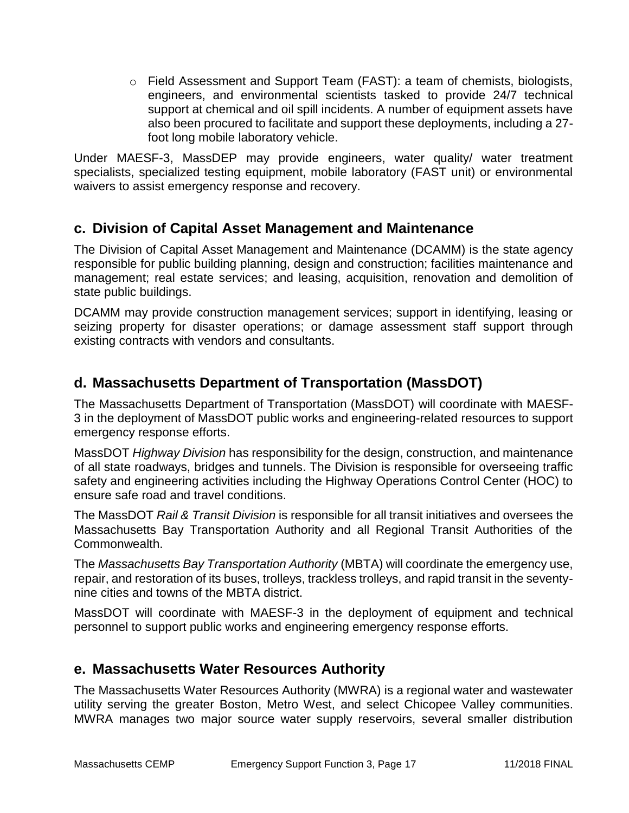o Field Assessment and Support Team (FAST): a team of chemists, biologists, engineers, and environmental scientists tasked to provide 24/7 technical support at chemical and oil spill incidents. A number of equipment assets have also been procured to facilitate and support these deployments, including a 27 foot long mobile laboratory vehicle.

Under MAESF-3, MassDEP may provide engineers, water quality/ water treatment specialists, specialized testing equipment, mobile laboratory (FAST unit) or environmental waivers to assist emergency response and recovery.

## **c. Division of Capital Asset Management and Maintenance**

The Division of Capital Asset Management and Maintenance (DCAMM) is the state agency responsible for public building planning, design and construction; facilities maintenance and management; real estate services; and leasing, acquisition, renovation and demolition of state public buildings.

DCAMM may provide construction management services; support in identifying, leasing or seizing property for disaster operations; or damage assessment staff support through existing contracts with vendors and consultants.

## **d. Massachusetts Department of Transportation (MassDOT)**

The Massachusetts Department of Transportation (MassDOT) will coordinate with MAESF-3 in the deployment of MassDOT public works and engineering-related resources to support emergency response efforts.

MassDOT *Highway Division* has responsibility for the design, construction, and maintenance of all state roadways, bridges and tunnels. The Division is responsible for overseeing traffic safety and engineering activities including the Highway Operations Control Center (HOC) to ensure safe road and travel conditions.

The MassDOT *Rail & Transit Division* is responsible for all transit initiatives and oversees the Massachusetts Bay Transportation Authority and all Regional Transit Authorities of the Commonwealth.

The *Massachusetts Bay Transportation Authority* (MBTA) will coordinate the emergency use, repair, and restoration of its buses, trolleys, trackless trolleys, and rapid transit in the seventynine cities and towns of the MBTA district.

MassDOT will coordinate with MAESF-3 in the deployment of equipment and technical personnel to support public works and engineering emergency response efforts.

### **e. Massachusetts Water Resources Authority**

The Massachusetts Water Resources Authority (MWRA) is a regional water and wastewater utility serving the greater Boston, Metro West, and select Chicopee Valley communities. MWRA manages two major source water supply reservoirs, several smaller distribution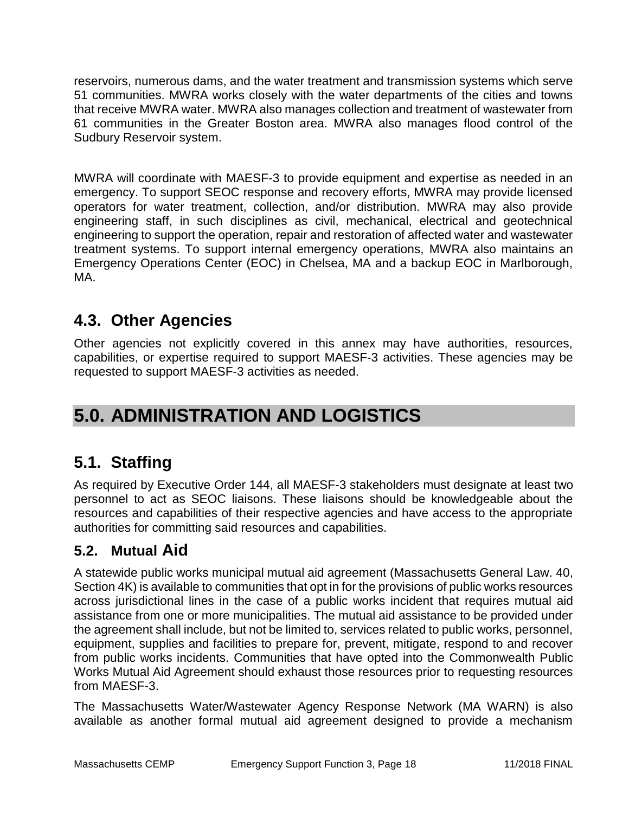reservoirs, numerous dams, and the water treatment and transmission systems which serve 51 communities. MWRA works closely with the water departments of the cities and towns that receive MWRA water. MWRA also manages collection and treatment of wastewater from 61 communities in the Greater Boston area. MWRA also manages flood control of the Sudbury Reservoir system.

MWRA will coordinate with MAESF-3 to provide equipment and expertise as needed in an emergency. To support SEOC response and recovery efforts, MWRA may provide licensed operators for water treatment, collection, and/or distribution. MWRA may also provide engineering staff, in such disciplines as civil, mechanical, electrical and geotechnical engineering to support the operation, repair and restoration of affected water and wastewater treatment systems. To support internal emergency operations, MWRA also maintains an Emergency Operations Center (EOC) in Chelsea, MA and a backup EOC in Marlborough, MA.

# **4.3. Other Agencies**

Other agencies not explicitly covered in this annex may have authorities, resources, capabilities, or expertise required to support MAESF-3 activities. These agencies may be requested to support MAESF-3 activities as needed.

# **5.0. ADMINISTRATION AND LOGISTICS**

# **5.1. Staffing**

As required by Executive Order 144, all MAESF-3 stakeholders must designate at least two personnel to act as SEOC liaisons. These liaisons should be knowledgeable about the resources and capabilities of their respective agencies and have access to the appropriate authorities for committing said resources and capabilities.

## **5.2. Mutual Aid**

A statewide public works municipal mutual aid agreement (Massachusetts General Law. 40, Section 4K) is available to communities that opt in for the provisions of public works resources across jurisdictional lines in the case of a public works incident that requires mutual aid assistance from one or more municipalities. The mutual aid assistance to be provided under the agreement shall include, but not be limited to, services related to public works, personnel, equipment, supplies and facilities to prepare for, prevent, mitigate, respond to and recover from public works incidents. Communities that have opted into the Commonwealth Public Works Mutual Aid Agreement should exhaust those resources prior to requesting resources from MAESF-3.

The Massachusetts Water/Wastewater Agency Response Network (MA WARN) is also available as another formal mutual aid agreement designed to provide a mechanism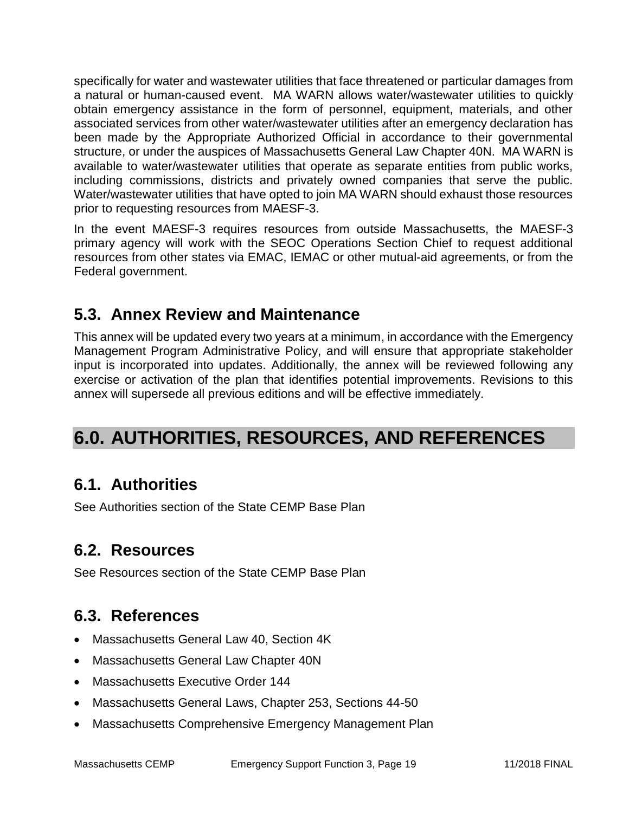specifically for water and wastewater utilities that face threatened or particular damages from a natural or human-caused event. MA WARN allows water/wastewater utilities to quickly obtain emergency assistance in the form of personnel, equipment, materials, and other associated services from other water/wastewater utilities after an emergency declaration has been made by the Appropriate Authorized Official in accordance to their governmental structure, or under the auspices of Massachusetts General Law Chapter 40N. MA WARN is available to water/wastewater utilities that operate as separate entities from public works, including commissions, districts and privately owned companies that serve the public. Water/wastewater utilities that have opted to join MA WARN should exhaust those resources prior to requesting resources from MAESF-3.

In the event MAESF-3 requires resources from outside Massachusetts, the MAESF-3 primary agency will work with the SEOC Operations Section Chief to request additional resources from other states via EMAC, IEMAC or other mutual-aid agreements, or from the Federal government.

# **5.3. Annex Review and Maintenance**

This annex will be updated every two years at a minimum, in accordance with the Emergency Management Program Administrative Policy, and will ensure that appropriate stakeholder input is incorporated into updates. Additionally, the annex will be reviewed following any exercise or activation of the plan that identifies potential improvements. Revisions to this annex will supersede all previous editions and will be effective immediately.

# **6.0. AUTHORITIES, RESOURCES, AND REFERENCES**

## **6.1. Authorities**

See Authorities section of the State CEMP Base Plan

# **6.2. Resources**

See Resources section of the State CEMP Base Plan

# **6.3. References**

- Massachusetts General Law 40, Section 4K
- Massachusetts General Law Chapter 40N
- Massachusetts Executive Order 144
- Massachusetts General Laws, Chapter 253, Sections 44-50
- Massachusetts Comprehensive Emergency Management Plan